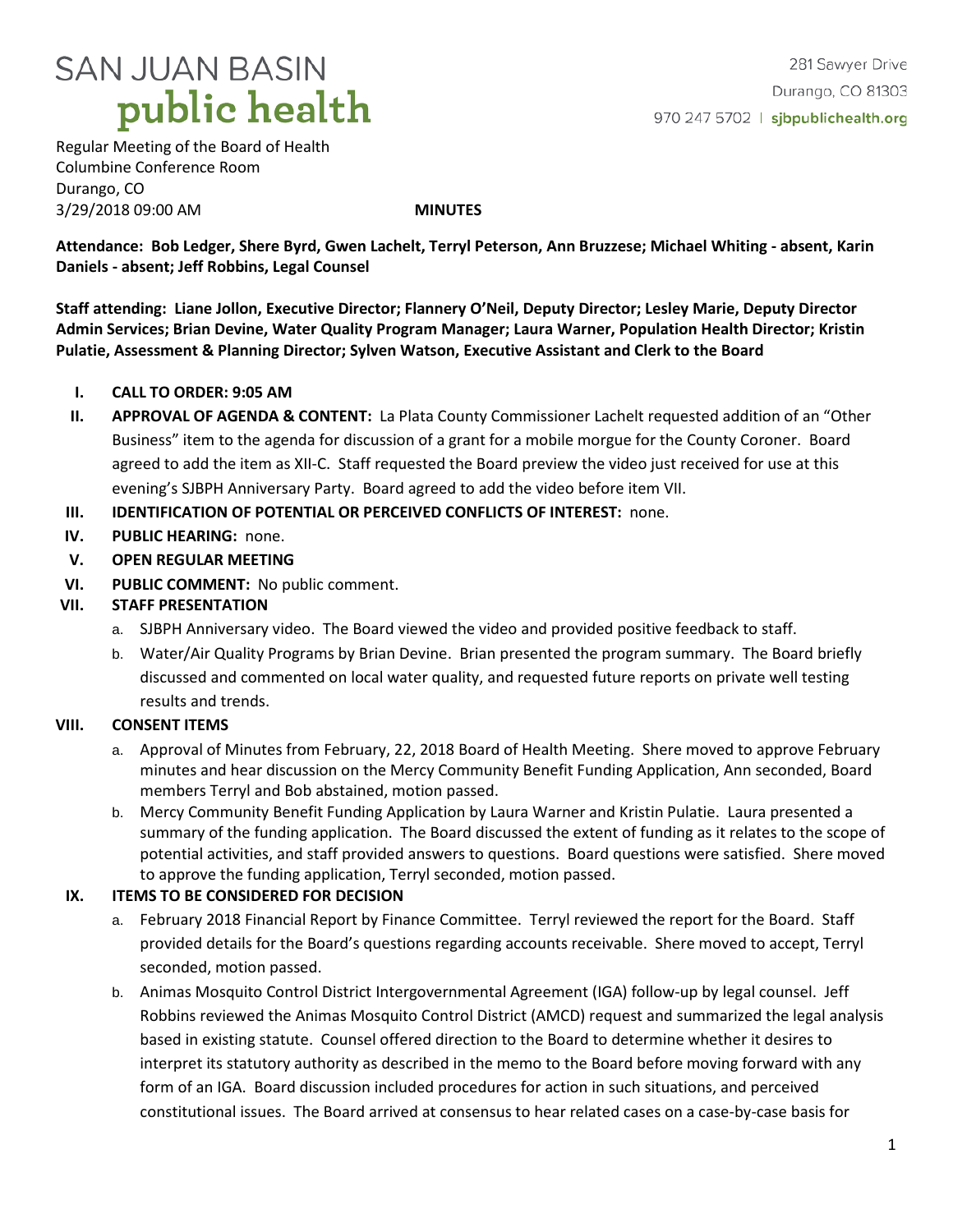

281 Sawyer Drive Durango, CO 81303 970 247 5702 | sjbpublichealth.org

Regular Meeting of the Board of Health Columbine Conference Room Durango, CO 3/29/2018 09:00 AM **MINUTES**

**Attendance: Bob Ledger, Shere Byrd, Gwen Lachelt, Terryl Peterson, Ann Bruzzese; Michael Whiting - absent, Karin Daniels - absent; Jeff Robbins, Legal Counsel**

**Staff attending: Liane Jollon, Executive Director; Flannery O'Neil, Deputy Director; Lesley Marie, Deputy Director Admin Services; Brian Devine, Water Quality Program Manager; Laura Warner, Population Health Director; Kristin Pulatie, Assessment & Planning Director; Sylven Watson, Executive Assistant and Clerk to the Board**

- **I. CALL TO ORDER: 9:05 AM**
- **II. APPROVAL OF AGENDA & CONTENT:** La Plata County Commissioner Lachelt requested addition of an "Other Business" item to the agenda for discussion of a grant for a mobile morgue for the County Coroner. Board agreed to add the item as XII-C. Staff requested the Board preview the video just received for use at this evening's SJBPH Anniversary Party. Board agreed to add the video before item VII.
- **III. IDENTIFICATION OF POTENTIAL OR PERCEIVED CONFLICTS OF INTEREST:** none.
- **IV. PUBLIC HEARING:** none.
- **V. OPEN REGULAR MEETING**
- **VI. PUBLIC COMMENT:** No public comment.

## **VII. STAFF PRESENTATION**

- a. SJBPH Anniversary video. The Board viewed the video and provided positive feedback to staff.
- b. Water/Air Quality Programs by Brian Devine. Brian presented the program summary. The Board briefly discussed and commented on local water quality, and requested future reports on private well testing results and trends.

### **VIII. CONSENT ITEMS**

- a. Approval of Minutes from February, 22, 2018 Board of Health Meeting. Shere moved to approve February minutes and hear discussion on the Mercy Community Benefit Funding Application, Ann seconded, Board members Terryl and Bob abstained, motion passed.
- b. Mercy Community Benefit Funding Application by Laura Warner and Kristin Pulatie. Laura presented a summary of the funding application. The Board discussed the extent of funding as it relates to the scope of potential activities, and staff provided answers to questions. Board questions were satisfied. Shere moved to approve the funding application, Terryl seconded, motion passed.

## **IX. ITEMS TO BE CONSIDERED FOR DECISION**

- a. February 2018 Financial Report by Finance Committee. Terryl reviewed the report for the Board. Staff provided details for the Board's questions regarding accounts receivable. Shere moved to accept, Terryl seconded, motion passed.
- b. Animas Mosquito Control District Intergovernmental Agreement (IGA) follow-up by legal counsel. Jeff Robbins reviewed the Animas Mosquito Control District (AMCD) request and summarized the legal analysis based in existing statute. Counsel offered direction to the Board to determine whether it desires to interpret its statutory authority as described in the memo to the Board before moving forward with any form of an IGA. Board discussion included procedures for action in such situations, and perceived constitutional issues. The Board arrived at consensus to hear related cases on a case-by-case basis for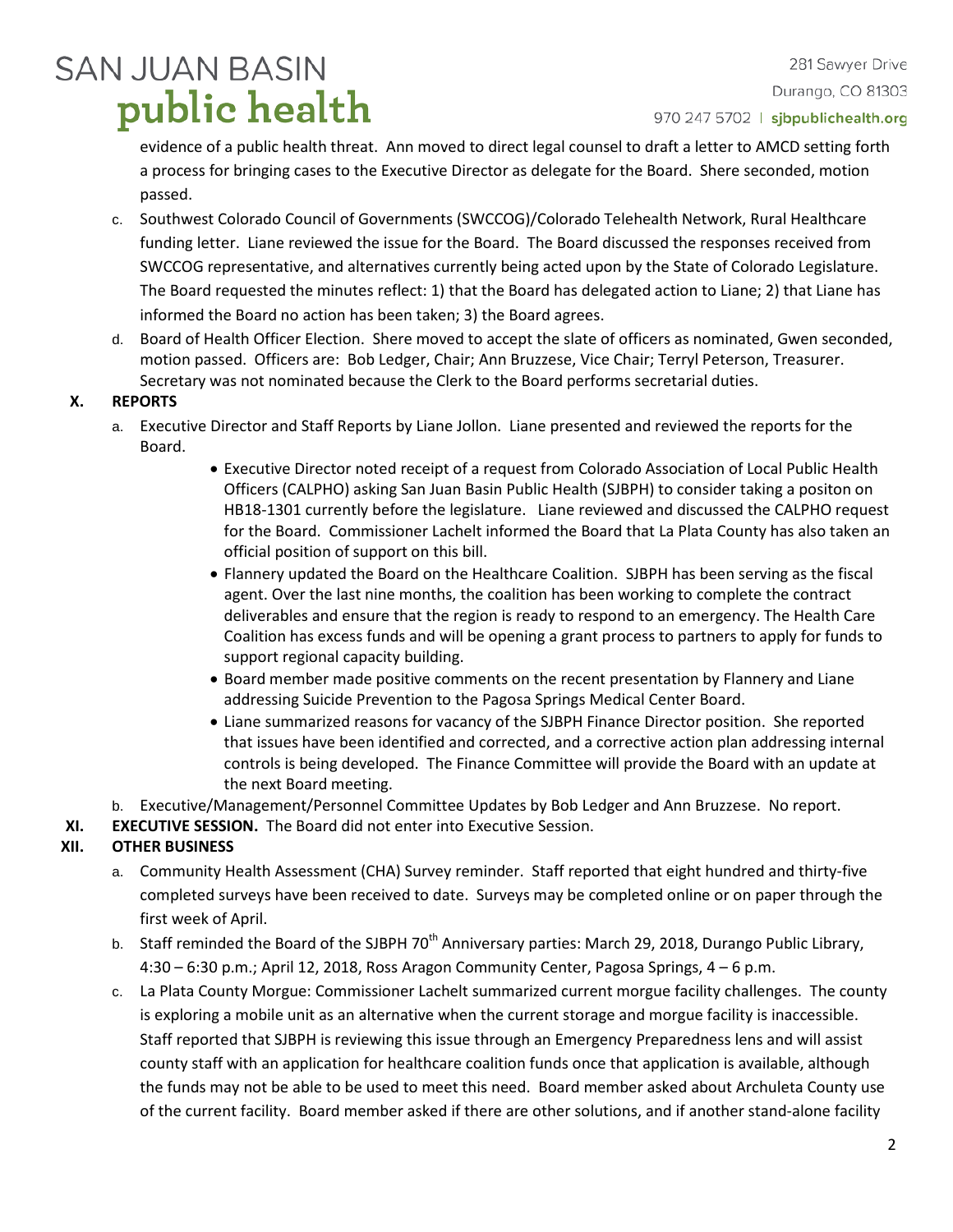# **SAN JUAN BASIN** public health

281 Sawyer Drive Durango, CO 81303 970 247 5702 | sjbpublichealth.org

evidence of a public health threat. Ann moved to direct legal counsel to draft a letter to AMCD setting forth a process for bringing cases to the Executive Director as delegate for the Board. Shere seconded, motion passed.

- c. Southwest Colorado Council of Governments (SWCCOG)/Colorado Telehealth Network, Rural Healthcare funding letter. Liane reviewed the issue for the Board. The Board discussed the responses received from SWCCOG representative, and alternatives currently being acted upon by the State of Colorado Legislature. The Board requested the minutes reflect: 1) that the Board has delegated action to Liane; 2) that Liane has informed the Board no action has been taken; 3) the Board agrees.
- d. Board of Health Officer Election. Shere moved to accept the slate of officers as nominated, Gwen seconded, motion passed. Officers are: Bob Ledger, Chair; Ann Bruzzese, Vice Chair; Terryl Peterson, Treasurer. Secretary was not nominated because the Clerk to the Board performs secretarial duties.

## **X. REPORTS**

- a. Executive Director and Staff Reports by Liane Jollon. Liane presented and reviewed the reports for the Board.
	- Executive Director noted receipt of a request from Colorado Association of Local Public Health Officers (CALPHO) asking San Juan Basin Public Health (SJBPH) to consider taking a positon on HB18-1301 currently before the legislature. Liane reviewed and discussed the CALPHO request for the Board. Commissioner Lachelt informed the Board that La Plata County has also taken an official position of support on this bill.
	- Flannery updated the Board on the Healthcare Coalition. SJBPH has been serving as the fiscal agent. Over the last nine months, the coalition has been working to complete the contract deliverables and ensure that the region is ready to respond to an emergency. The Health Care Coalition has excess funds and will be opening a grant process to partners to apply for funds to support regional capacity building.
	- Board member made positive comments on the recent presentation by Flannery and Liane addressing Suicide Prevention to the Pagosa Springs Medical Center Board.
	- Liane summarized reasons for vacancy of the SJBPH Finance Director position. She reported that issues have been identified and corrected, and a corrective action plan addressing internal controls is being developed. The Finance Committee will provide the Board with an update at the next Board meeting.
- b. Executive/Management/Personnel Committee Updates by Bob Ledger and Ann Bruzzese. No report.
- **XI. EXECUTIVE SESSION.** The Board did not enter into Executive Session.

## **XII. OTHER BUSINESS**

- a. Community Health Assessment (CHA) Survey reminder. Staff reported that eight hundred and thirty-five completed surveys have been received to date. Surveys may be completed online or on paper through the first week of April.
- b. Staff reminded the Board of the SJBPH 70<sup>th</sup> Anniversary parties: March 29, 2018, Durango Public Library, 4:30 – 6:30 p.m.; April 12, 2018, Ross Aragon Community Center, Pagosa Springs, 4 – 6 p.m.
- c. La Plata County Morgue: Commissioner Lachelt summarized current morgue facility challenges. The county is exploring a mobile unit as an alternative when the current storage and morgue facility is inaccessible. Staff reported that SJBPH is reviewing this issue through an Emergency Preparedness lens and will assist county staff with an application for healthcare coalition funds once that application is available, although the funds may not be able to be used to meet this need. Board member asked about Archuleta County use of the current facility. Board member asked if there are other solutions, and if another stand-alone facility